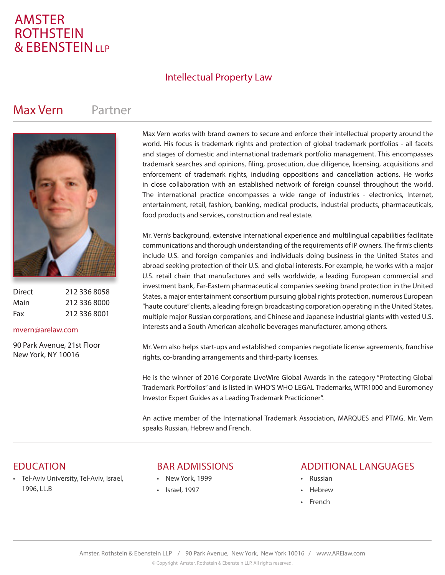# AMSTER **ROTHSTEIN & EBENSTEIN**

## Intellectual Property Law

## Max Vern Partner



| Direct | 212 336 8058 |
|--------|--------------|
| Main   | 212 336 8000 |
| Fax    | 212 336 8001 |

#### mvern@arelaw.com

90 Park Avenue, 21st Floor New York, NY 10016

Max Vern works with brand owners to secure and enforce their intellectual property around the world. His focus is trademark rights and protection of global trademark portfolios - all facets and stages of domestic and international trademark portfolio management. This encompasses trademark searches and opinions, filing, prosecution, due diligence, licensing, acquisitions and enforcement of trademark rights, including oppositions and cancellation actions. He works in close collaboration with an established network of foreign counsel throughout the world. The international practice encompasses a wide range of industries - electronics, Internet, entertainment, retail, fashion, banking, medical products, industrial products, pharmaceuticals, food products and services, construction and real estate.

Mr. Vern's background, extensive international experience and multilingual capabilities facilitate communications and thorough understanding of the requirements of IP owners. The firm's clients include U.S. and foreign companies and individuals doing business in the United States and abroad seeking protection of their U.S. and global interests. For example, he works with a major U.S. retail chain that manufactures and sells worldwide, a leading European commercial and investment bank, Far-Eastern pharmaceutical companies seeking brand protection in the United States, a major entertainment consortium pursuing global rights protection, numerous European "haute couture" clients, a leading foreign broadcasting corporation operating in the United States, multiple major Russian corporations, and Chinese and Japanese industrial giants with vested U.S. interests and a South American alcoholic beverages manufacturer, among others.

Mr. Vern also helps start-ups and established companies negotiate license agreements, franchise rights, co-branding arrangements and third-party licenses.

He is the winner of 2016 Corporate LiveWire Global Awards in the category "Protecting Global Trademark Portfolios" and is listed in WHO'S WHO LEGAL Trademarks, WTR1000 and Euromoney Investor Expert Guides as a Leading Trademark Practicioner".

An active member of the International Trademark Association, MARQUES and PTMG. Mr. Vern speaks Russian, Hebrew and French.

• Tel-Aviv University, Tel-Aviv, Israel, 1996, LL.B

#### EDUCATION BAR ADMISSIONS

- New York, 1999
- Israel, 1997

#### ADDITIONAL LANGUAGES

- Russian
- Hebrew
- French